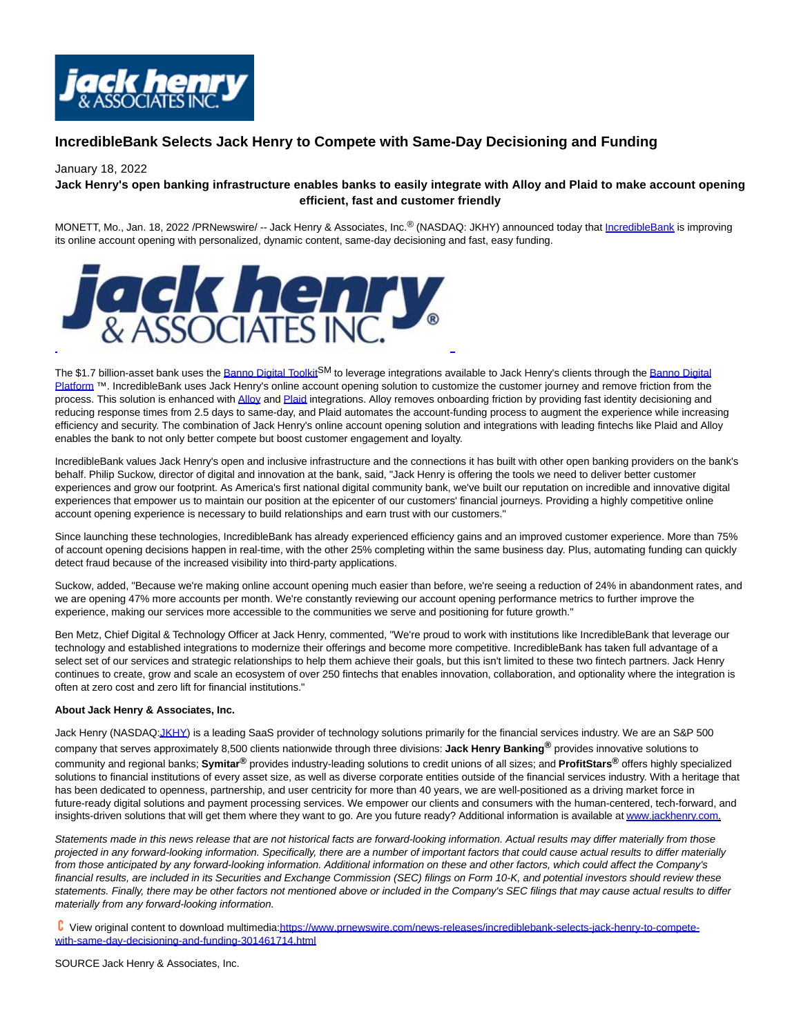

## **IncredibleBank Selects Jack Henry to Compete with Same-Day Decisioning and Funding**

## January 18, 2022

## **Jack Henry's open banking infrastructure enables banks to easily integrate with Alloy and Plaid to make account opening efficient, fast and customer friendly**

MONETT, Mo., Jan. 18, 2022 /PRNewswire/ -- Jack Henry & Associates, Inc.<sup>®</sup> (NASDAQ: JKHY) announced today that [IncredibleBank i](https://c212.net/c/link/?t=0&l=en&o=3414240-1&h=657672700&u=https%3A%2F%2Fwww.incrediblebank.com%2F&a=IncredibleBank)s improving its online account opening with personalized, dynamic content, same-day decisioning and fast, easy funding.



The \$1.7 billion-asset bank uses th[e Banno Digital Toolkit](https://c212.net/c/link/?t=0&l=en&o=3414240-1&h=4247658969&u=https%3A%2F%2Fbanno.com%2Fdigital-toolkit%2F&a=Banno+Digital+Toolkit)<sup>SM</sup> to leverage integrations available to Jack Henry's clients through the [Banno Digital](https://c212.net/c/link/?t=0&l=en&o=3414240-1&h=1107575952&u=https%3A%2F%2Fbanno.com%2F&a=Banno+Digital+Platform) Platform ™. IncredibleBank uses Jack Henry's online account opening solution to customize the customer journey and remove friction from the process. This solution is enhanced wit[h Alloy a](https://c212.net/c/link/?t=0&l=en&o=3414240-1&h=3004708131&u=https%3A%2F%2Fwww.alloy.com%2F&a=Alloy)nd [Plaid i](https://c212.net/c/link/?t=0&l=en&o=3414240-1&h=1787137644&u=https%3A%2F%2Fplaid.com%2F%3Futm_source%3Dgoogle%26utm_medium%3Dsearch%26utm_campaign%3DSearch_G_Brand_Exact%26utm_content%3Dplaid%26utm_term%3Dplaid%26utm_creative%3D481138286156%26gclid%3DCjwKCAjw2bmLBhBREiwAZ6ugo6zML5QOcqLq8WFI50Rmk8F1GuQw4dOV8nJvc0-nlGTrxCNfbEPBNxoCCH4QAvD_BwE&a=Plaid)ntegrations. Alloy removes onboarding friction by providing fast identity decisioning and reducing response times from 2.5 days to same-day, and Plaid automates the account-funding process to augment the experience while increasing efficiency and security. The combination of Jack Henry's online account opening solution and integrations with leading fintechs like Plaid and Alloy enables the bank to not only better compete but boost customer engagement and loyalty.

IncredibleBank values Jack Henry's open and inclusive infrastructure and the connections it has built with other open banking providers on the bank's behalf. Philip Suckow, director of digital and innovation at the bank, said, "Jack Henry is offering the tools we need to deliver better customer experiences and grow our footprint. As America's first national digital community bank, we've built our reputation on incredible and innovative digital experiences that empower us to maintain our position at the epicenter of our customers' financial journeys. Providing a highly competitive online account opening experience is necessary to build relationships and earn trust with our customers."

Since launching these technologies, IncredibleBank has already experienced efficiency gains and an improved customer experience. More than 75% of account opening decisions happen in real-time, with the other 25% completing within the same business day. Plus, automating funding can quickly detect fraud because of the increased visibility into third-party applications.

Suckow, added, "Because we're making online account opening much easier than before, we're seeing a reduction of 24% in abandonment rates, and we are opening 47% more accounts per month. We're constantly reviewing our account opening performance metrics to further improve the experience, making our services more accessible to the communities we serve and positioning for future growth."

Ben Metz, Chief Digital & Technology Officer at Jack Henry, commented, "We're proud to work with institutions like IncredibleBank that leverage our technology and established integrations to modernize their offerings and become more competitive. IncredibleBank has taken full advantage of a select set of our services and strategic relationships to help them achieve their goals, but this isn't limited to these two fintech partners. Jack Henry continues to create, grow and scale an ecosystem of over 250 fintechs that enables innovation, collaboration, and optionality where the integration is often at zero cost and zero lift for financial institutions."

## **About Jack Henry & Associates, Inc.**

Jack Henry (NASDA[Q:JKHY\)](https://c212.net/c/link/?t=0&l=en&o=3414240-1&h=3400458015&u=http%3A%2F%2Fwww.nasdaq.com%2Fsymbol%2Fjkhy&a=JKHY) is a leading SaaS provider of technology solutions primarily for the financial services industry. We are an S&P 500 company that serves approximately 8,500 clients nationwide through three divisions: **Jack Henry Banking®** provides innovative solutions to community and regional banks; **Symitar®** provides industry-leading solutions to credit unions of all sizes; and **ProfitStars®** offers highly specialized solutions to financial institutions of every asset size, as well as diverse corporate entities outside of the financial services industry. With a heritage that has been dedicated to openness, partnership, and user centricity for more than 40 years, we are well-positioned as a driving market force in future-ready digital solutions and payment processing services. We empower our clients and consumers with the human-centered, tech-forward, and insights-driven solutions that will get them where they want to go. Are you future ready? Additional information is available a[t www.jackhenry.com.](https://c212.net/c/link/?t=0&l=en&o=3414240-1&h=527543903&u=http%3A%2F%2Fwww.jackhenry.com%2F&a=www.jackhenry.com)

Statements made in this news release that are not historical facts are forward-looking information. Actual results may differ materially from those projected in any forward-looking information. Specifically, there are a number of important factors that could cause actual results to differ materially from those anticipated by any forward-looking information. Additional information on these and other factors, which could affect the Company's financial results, are included in its Securities and Exchange Commission (SEC) filings on Form 10-K, and potential investors should review these statements. Finally, there may be other factors not mentioned above or included in the Company's SEC filings that may cause actual results to differ materially from any forward-looking information.

 View original content to download multimedia[:https://www.prnewswire.com/news-releases/incrediblebank-selects-jack-henry-to-compete](https://www.prnewswire.com/news-releases/incrediblebank-selects-jack-henry-to-compete-with-same-day-decisioning-and-funding-301461714.html)with-same-day-decisioning-and-funding-301461714.html

SOURCE Jack Henry & Associates, Inc.